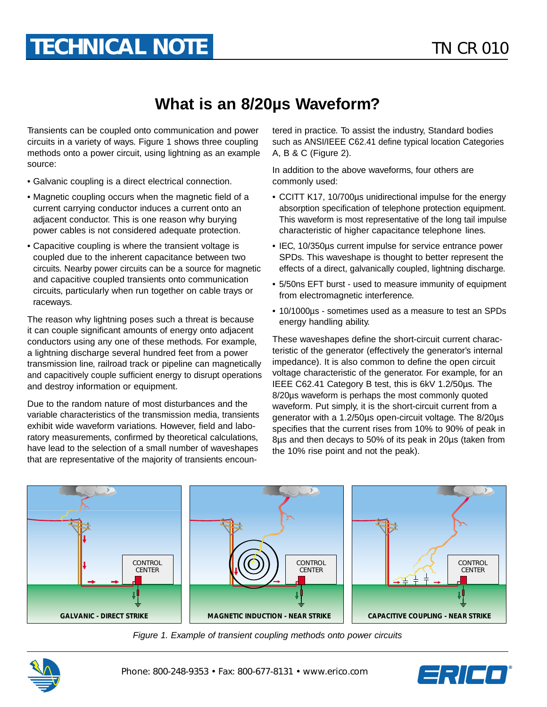## **What is an 8/20µs Waveform?**

Transients can be coupled onto communication and power circuits in a variety of ways. Figure 1 shows three coupling methods onto a power circuit, using lightning as an example source:

- Galvanic coupling is a direct electrical connection.
- Magnetic coupling occurs when the magnetic field of a current carrying conductor induces a current onto an adjacent conductor. This is one reason why burying power cables is not considered adequate protection.
- Capacitive coupling is where the transient voltage is coupled due to the inherent capacitance between two circuits. Nearby power circuits can be a source for magnetic and capacitive coupled transients onto communication circuits, particularly when run together on cable trays or raceways.

The reason why lightning poses such a threat is because it can couple significant amounts of energy onto adjacent conductors using any one of these methods. For example, a lightning discharge several hundred feet from a power transmission line, railroad track or pipeline can magnetically and capacitively couple sufficient energy to disrupt operations and destroy information or equipment.

Due to the random nature of most disturbances and the variable characteristics of the transmission media, transients exhibit wide waveform variations. However, field and laboratory measurements, confirmed by theoretical calculations, have lead to the selection of a small number of waveshapes that are representative of the majority of transients encountered in practice. To assist the industry, Standard bodies such as ANSI/IEEE C62.41 define typical location Categories A, B & C (Figure 2).

In addition to the above waveforms, four others are commonly used:

- CCITT K17, 10/700µs unidirectional impulse for the energy absorption specification of telephone protection equipment. This waveform is most representative of the long tail impulse characteristic of higher capacitance telephone lines.
- IEC, 10/350µs current impulse for service entrance power SPDs. This waveshape is thought to better represent the effects of a direct, galvanically coupled, lightning discharge.
- 5/50ns EFT burst used to measure immunity of equipment from electromagnetic interference.
- 10/1000µs sometimes used as a measure to test an SPDs energy handling ability.

These waveshapes define the short-circuit current characteristic of the generator (effectively the generator's internal impedance). It is also common to define the open circuit voltage characteristic of the generator. For example, for an IEEE C62.41 Category B test, this is 6kV 1.2/50µs. The 8/20µs waveform is perhaps the most commonly quoted waveform. Put simply, it is the short-circuit current from a generator with a 1.2/50µs open-circuit voltage. The 8/20µs specifies that the current rises from 10% to 90% of peak in 8µs and then decays to 50% of its peak in 20µs (taken from the 10% rise point and not the peak).



Figure 1. Example of transient coupling methods onto power circuits